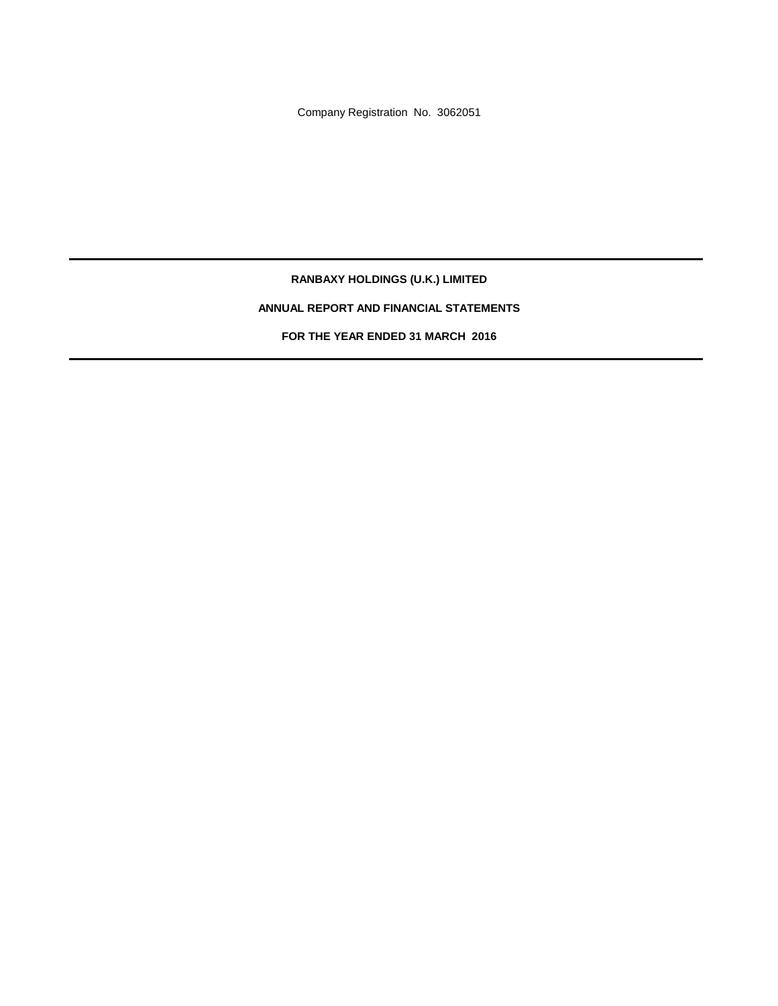Company Registration No. 3062051

# **RANBAXY HOLDINGS (U.K.) LIMITED**

# **ANNUAL REPORT AND FINANCIAL STATEMENTS**

**FOR THE YEAR ENDED 31 MARCH 2016**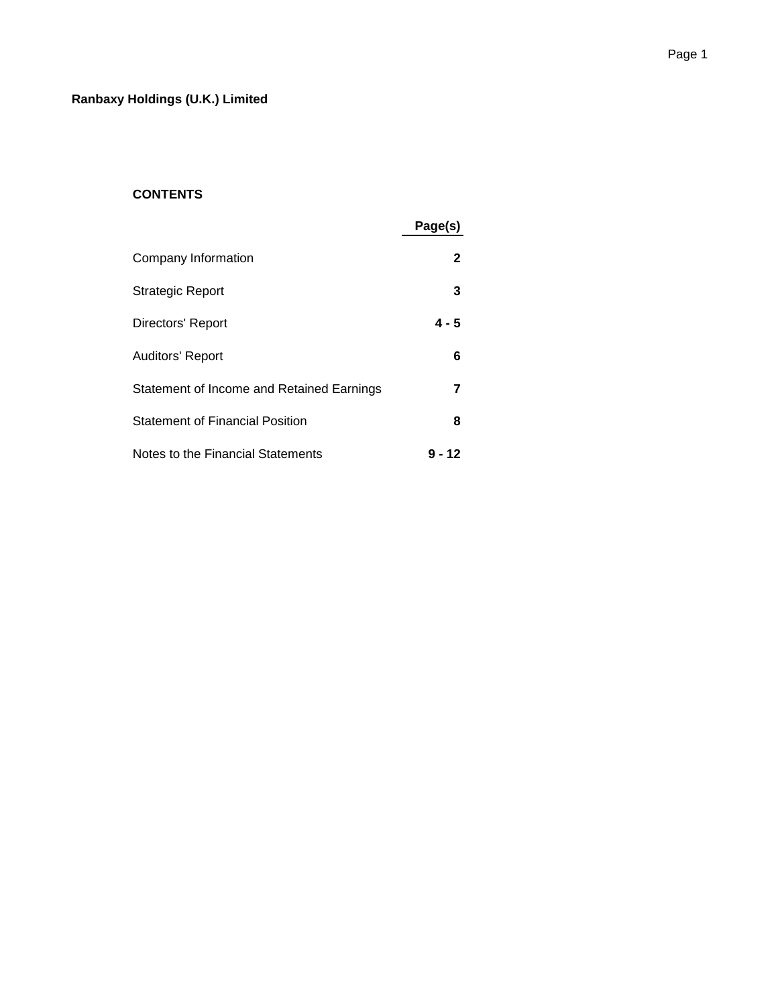# **CONTENTS**

|                                           | Page(s) |
|-------------------------------------------|---------|
| Company Information                       | 2       |
| <b>Strategic Report</b>                   | 3       |
| Directors' Report                         | 4 - 5   |
| <b>Auditors' Report</b>                   | 6       |
| Statement of Income and Retained Earnings | 7       |
| <b>Statement of Financial Position</b>    | 8       |
| Notes to the Financial Statements         | 9 - 12  |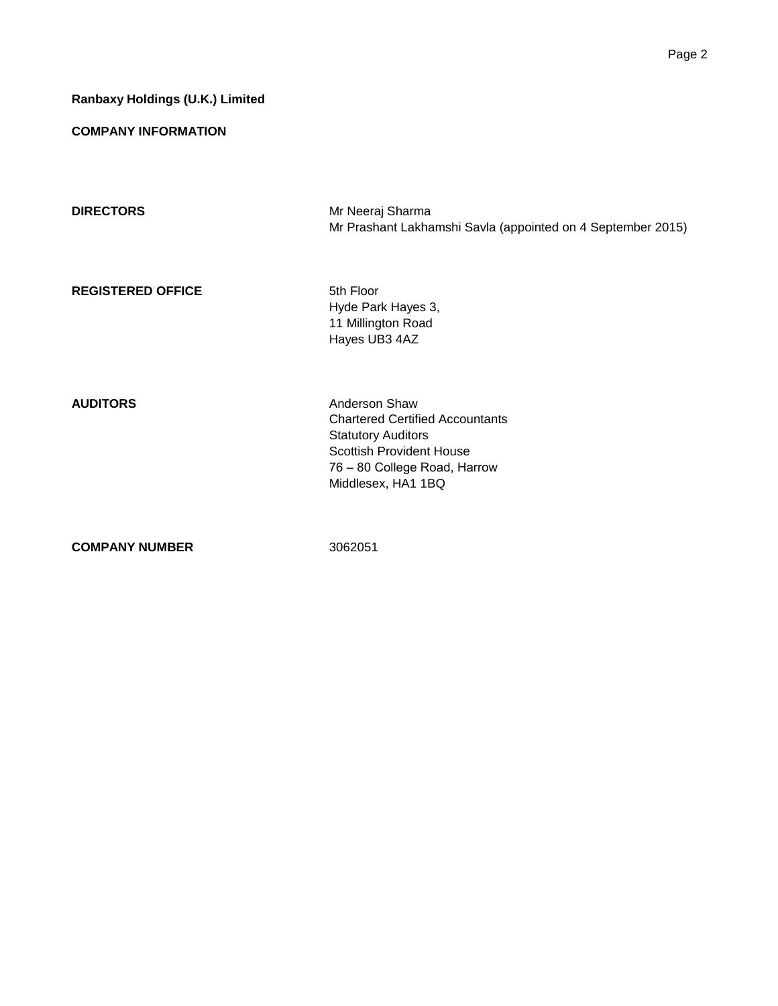# **COMPANY INFORMATION**

**DIRECTORS** Mr Neeraj Sharma Mr Prashant Lakhamshi Savla (appointed on 4 September 2015)

**REGISTERED OFFICE** 5th Floor

Hyde Park Hayes 3, 11 Millington Road Hayes UB3 4AZ

**AUDITORS** Anderson Shaw Chartered Certified Accountants Statutory Auditors Scottish Provident House 76 – 80 College Road, Harrow Middlesex, HA1 1BQ

**COMPANY NUMBER** 3062051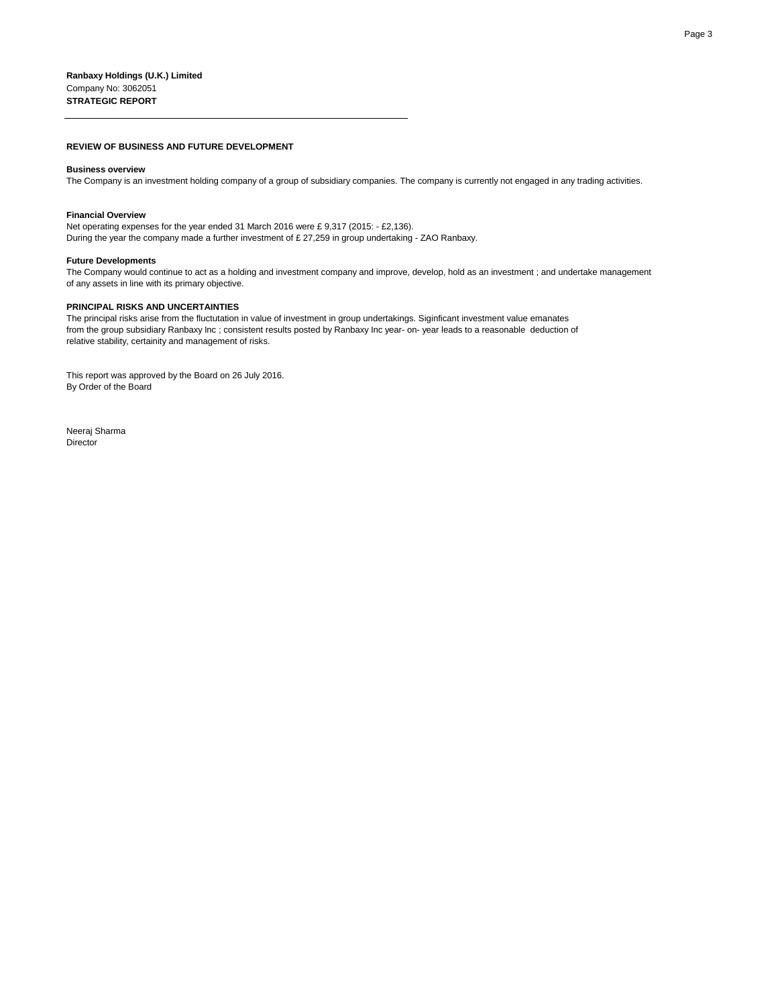### **REVIEW OF BUSINESS AND FUTURE DEVELOPMENT**

#### **Business overview**

The Company is an investment holding company of a group of subsidiary companies. The company is currently not engaged in any trading activities.

#### **Financial Overview**

Net operating expenses for the year ended 31 March 2016 were £ 9,317 (2015: - £2,136). During the year the company made a further investment of £ 27,259 in group undertaking - ZAO Ranbaxy.

#### **Future Developments**

The Company would continue to act as a holding and investment company and improve, develop, hold as an investment ; and undertake management of any assets in line with its primary objective.

### **PRINCIPAL RISKS AND UNCERTAINTIES**

The principal risks arise from the fluctutation in value of investment in group undertakings. Siginficant investment value emanates from the group subsidiary Ranbaxy Inc ; consistent results posted by Ranbaxy Inc year- on- year leads to a reasonable deduction of relative stability, certainity and management of risks.

This report was approved by the Board on 26 July 2016. By Order of the Board

Neeraj Sharma Director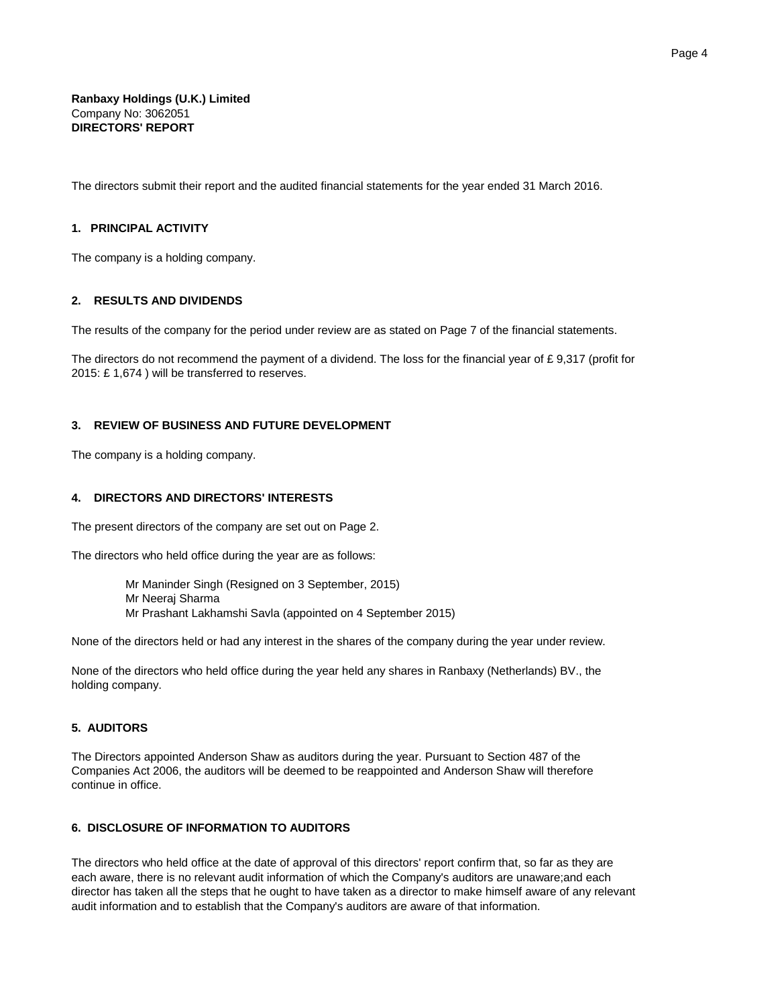**Ranbaxy Holdings (U.K.) Limited** Company No: 3062051 **DIRECTORS' REPORT**

The directors submit their report and the audited financial statements for the year ended 31 March 2016.

## **1. PRINCIPAL ACTIVITY**

The company is a holding company.

# **2. RESULTS AND DIVIDENDS**

The results of the company for the period under review are as stated on Page 7 of the financial statements.

The directors do not recommend the payment of a dividend. The loss for the financial year of £9,317 (profit for 2015: £ 1,674 ) will be transferred to reserves.

## **3. REVIEW OF BUSINESS AND FUTURE DEVELOPMENT**

The company is a holding company.

## **4. DIRECTORS AND DIRECTORS' INTERESTS**

The present directors of the company are set out on Page 2.

The directors who held office during the year are as follows:

Mr Maninder Singh (Resigned on 3 September, 2015) Mr Neeraj Sharma Mr Prashant Lakhamshi Savla (appointed on 4 September 2015)

None of the directors held or had any interest in the shares of the company during the year under review.

None of the directors who held office during the year held any shares in Ranbaxy (Netherlands) BV., the holding company.

## **5. AUDITORS**

The Directors appointed Anderson Shaw as auditors during the year. Pursuant to Section 487 of the Companies Act 2006, the auditors will be deemed to be reappointed and Anderson Shaw will therefore continue in office.

## **6. DISCLOSURE OF INFORMATION TO AUDITORS**

The directors who held office at the date of approval of this directors' report confirm that, so far as they are each aware, there is no relevant audit information of which the Company's auditors are unaware;and each director has taken all the steps that he ought to have taken as a director to make himself aware of any relevant audit information and to establish that the Company's auditors are aware of that information.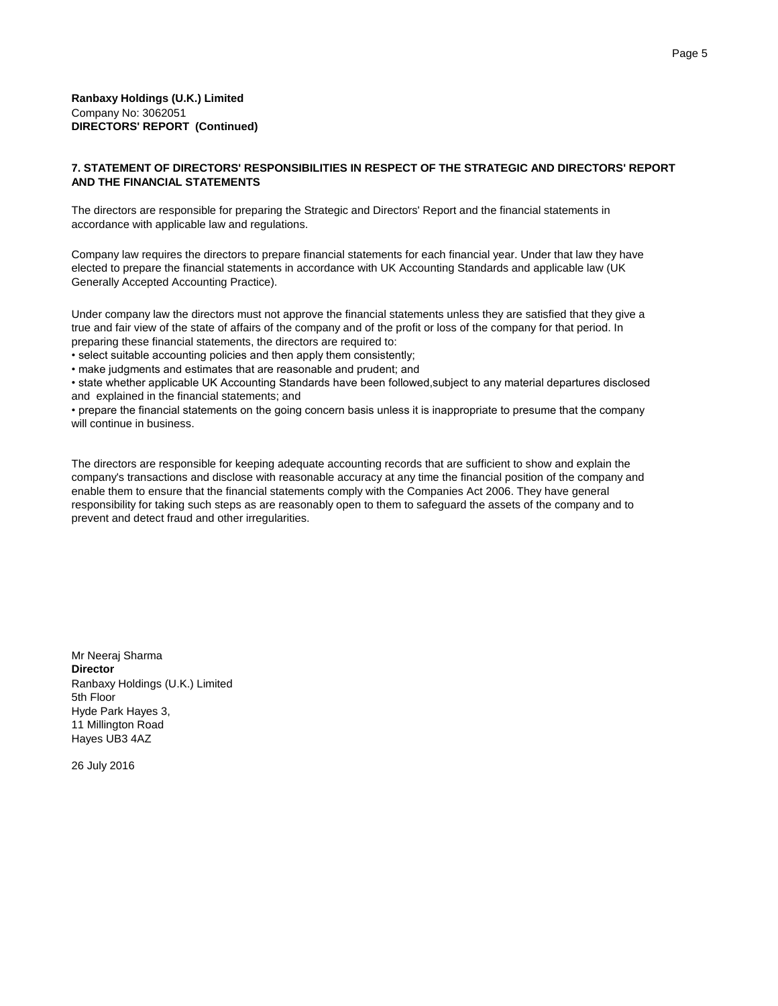## **Ranbaxy Holdings (U.K.) Limited** Company No: 3062051 **DIRECTORS' REPORT (Continued)**

## **7. STATEMENT OF DIRECTORS' RESPONSIBILITIES IN RESPECT OF THE STRATEGIC AND DIRECTORS' REPORT AND THE FINANCIAL STATEMENTS**

The directors are responsible for preparing the Strategic and Directors' Report and the financial statements in accordance with applicable law and regulations.

Company law requires the directors to prepare financial statements for each financial year. Under that law they have elected to prepare the financial statements in accordance with UK Accounting Standards and applicable law (UK Generally Accepted Accounting Practice).

Under company law the directors must not approve the financial statements unless they are satisfied that they give a true and fair view of the state of affairs of the company and of the profit or loss of the company for that period. In preparing these financial statements, the directors are required to:

• select suitable accounting policies and then apply them consistently;

• make judgments and estimates that are reasonable and prudent; and

• state whether applicable UK Accounting Standards have been followed,subject to any material departures disclosed and explained in the financial statements; and

• prepare the financial statements on the going concern basis unless it is inappropriate to presume that the company will continue in business.

The directors are responsible for keeping adequate accounting records that are sufficient to show and explain the company's transactions and disclose with reasonable accuracy at any time the financial position of the company and enable them to ensure that the financial statements comply with the Companies Act 2006. They have general responsibility for taking such steps as are reasonably open to them to safeguard the assets of the company and to prevent and detect fraud and other irregularities.

Mr Neeraj Sharma **Director** Ranbaxy Holdings (U.K.) Limited 5th Floor Hyde Park Hayes 3, 11 Millington Road Hayes UB3 4AZ

26 July 2016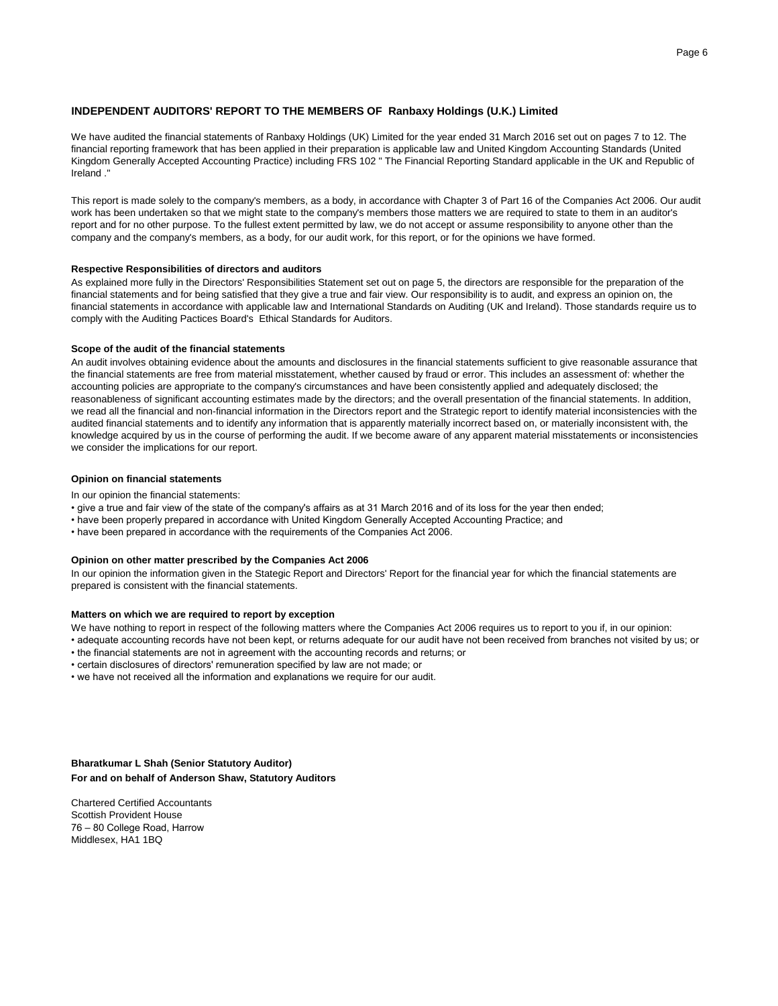### **INDEPENDENT AUDITORS' REPORT TO THE MEMBERS OF Ranbaxy Holdings (U.K.) Limited**

We have audited the financial statements of Ranbaxy Holdings (UK) Limited for the year ended 31 March 2016 set out on pages 7 to 12. The financial reporting framework that has been applied in their preparation is applicable law and United Kingdom Accounting Standards (United Kingdom Generally Accepted Accounting Practice) including FRS 102 " The Financial Reporting Standard applicable in the UK and Republic of Ireland ."

This report is made solely to the company's members, as a body, in accordance with Chapter 3 of Part 16 of the Companies Act 2006. Our audit work has been undertaken so that we might state to the company's members those matters we are required to state to them in an auditor's report and for no other purpose. To the fullest extent permitted by law, we do not accept or assume responsibility to anyone other than the company and the company's members, as a body, for our audit work, for this report, or for the opinions we have formed.

#### **Respective Responsibilities of directors and auditors**

As explained more fully in the Directors' Responsibilities Statement set out on page 5, the directors are responsible for the preparation of the financial statements and for being satisfied that they give a true and fair view. Our responsibility is to audit, and express an opinion on, the financial statements in accordance with applicable law and International Standards on Auditing (UK and Ireland). Those standards require us to comply with the Auditing Pactices Board's Ethical Standards for Auditors.

#### **Scope of the audit of the financial statements**

An audit involves obtaining evidence about the amounts and disclosures in the financial statements sufficient to give reasonable assurance that the financial statements are free from material misstatement, whether caused by fraud or error. This includes an assessment of: whether the accounting policies are appropriate to the company's circumstances and have been consistently applied and adequately disclosed; the reasonableness of significant accounting estimates made by the directors; and the overall presentation of the financial statements. In addition, we read all the financial and non-financial information in the Directors report and the Strategic report to identify material inconsistencies with the audited financial statements and to identify any information that is apparently materially incorrect based on, or materially inconsistent with, the knowledge acquired by us in the course of performing the audit. If we become aware of any apparent material misstatements or inconsistencies we consider the implications for our report.

#### **Opinion on financial statements**

In our opinion the financial statements:

- give a true and fair view of the state of the company's affairs as at 31 March 2016 and of its loss for the year then ended;
- have been properly prepared in accordance with United Kingdom Generally Accepted Accounting Practice; and
- have been prepared in accordance with the requirements of the Companies Act 2006.

#### **Opinion on other matter prescribed by the Companies Act 2006**

In our opinion the information given in the Stategic Report and Directors' Report for the financial year for which the financial statements are prepared is consistent with the financial statements.

#### **Matters on which we are required to report by exception**

We have nothing to report in respect of the following matters where the Companies Act 2006 requires us to report to you if, in our opinion:

- adequate accounting records have not been kept, or returns adequate for our audit have not been received from branches not visited by us; or
- the financial statements are not in agreement with the accounting records and returns; or
- certain disclosures of directors' remuneration specified by law are not made; or
- we have not received all the information and explanations we require for our audit.

**Bharatkumar L Shah (Senior Statutory Auditor) For and on behalf of Anderson Shaw, Statutory Auditors**

Chartered Certified Accountants Scottish Provident House 76 – 80 College Road, Harrow Middlesex, HA1 1BQ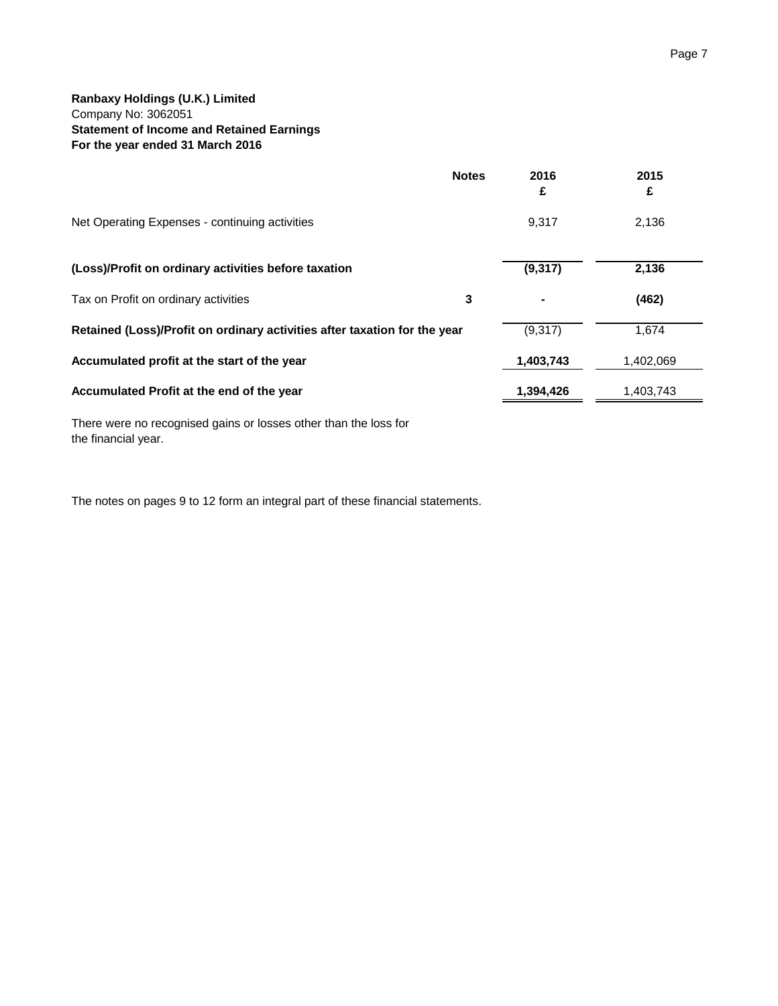# **Ranbaxy Holdings (U.K.) Limited** Company No: 3062051 **Statement of Income and Retained Earnings For the year ended 31 March 2016**

|                                                                           | <b>Notes</b> | 2016<br>£ | 2015<br>£ |
|---------------------------------------------------------------------------|--------------|-----------|-----------|
| Net Operating Expenses - continuing activities                            |              | 9,317     | 2,136     |
| (Loss)/Profit on ordinary activities before taxation                      |              | (9, 317)  | 2,136     |
| Tax on Profit on ordinary activities                                      | 3            |           | (462)     |
| Retained (Loss)/Profit on ordinary activities after taxation for the year |              | (9,317)   | 1,674     |
| Accumulated profit at the start of the year                               |              | 1,403,743 | 1,402,069 |
| Accumulated Profit at the end of the year                                 |              | 1,394,426 | 1,403,743 |
| There were no recognised gains or losses other than the loss for          |              |           |           |

the financial year.

The notes on pages 9 to 12 form an integral part of these financial statements.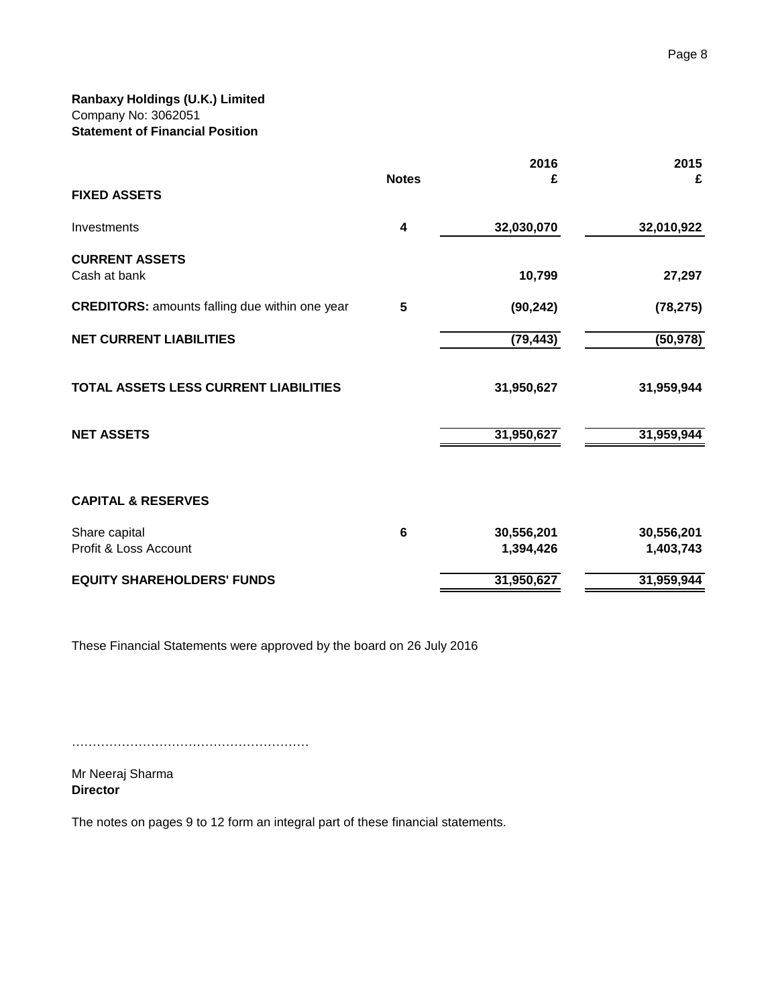**Ranbaxy Holdings (U.K.) Limited** Company No: 3062051 **Statement of Financial Position**

|                                                       |                | 2016                    | 2015                    |
|-------------------------------------------------------|----------------|-------------------------|-------------------------|
| <b>FIXED ASSETS</b>                                   | <b>Notes</b>   | £                       | £                       |
| Investments                                           | 4              | 32,030,070              | 32,010,922              |
| <b>CURRENT ASSETS</b><br>Cash at bank                 |                | 10,799                  | 27,297                  |
| <b>CREDITORS:</b> amounts falling due within one year | 5              | (90, 242)               | (78, 275)               |
| <b>NET CURRENT LIABILITIES</b>                        |                | (79, 443)               | (50, 978)               |
| TOTAL ASSETS LESS CURRENT LIABILITIES                 |                | 31,950,627              | 31,959,944              |
| <b>NET ASSETS</b>                                     |                | 31,950,627              | 31,959,944              |
| <b>CAPITAL &amp; RESERVES</b>                         |                |                         |                         |
| Share capital<br>Profit & Loss Account                | $6\phantom{1}$ | 30,556,201<br>1,394,426 | 30,556,201<br>1,403,743 |
| <b>EQUITY SHAREHOLDERS' FUNDS</b>                     |                | 31,950,627              | 31,959,944              |

These Financial Statements were approved by the board on 26 July 2016

…………………………………………………

Mr Neeraj Sharma **Director**

The notes on pages 9 to 12 form an integral part of these financial statements.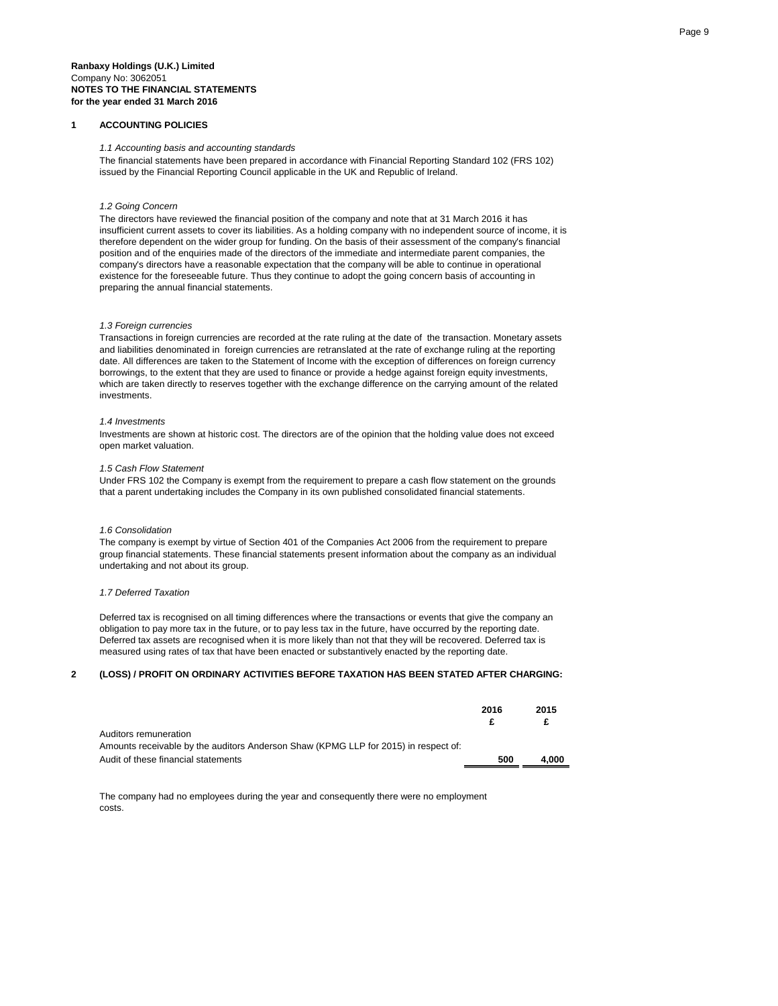## **1 ACCOUNTING POLICIES**

#### *1.1 Accounting basis and accounting standards*

The financial statements have been prepared in accordance with Financial Reporting Standard 102 (FRS 102) issued by the Financial Reporting Council applicable in the UK and Republic of Ireland.

#### *1.2 Going Concern*

The directors have reviewed the financial position of the company and note that at 31 March 2016 it has insufficient current assets to cover its liabilities. As a holding company with no independent source of income, it is therefore dependent on the wider group for funding. On the basis of their assessment of the company's financial position and of the enquiries made of the directors of the immediate and intermediate parent companies, the company's directors have a reasonable expectation that the company will be able to continue in operational existence for the foreseeable future. Thus they continue to adopt the going concern basis of accounting in preparing the annual financial statements.

#### *1.3 Foreign currencies*

Transactions in foreign currencies are recorded at the rate ruling at the date of the transaction. Monetary assets and liabilities denominated in foreign currencies are retranslated at the rate of exchange ruling at the reporting date. All differences are taken to the Statement of Income with the exception of differences on foreign currency borrowings, to the extent that they are used to finance or provide a hedge against foreign equity investments, which are taken directly to reserves together with the exchange difference on the carrying amount of the related investments.

#### *1.4 Investments*

Investments are shown at historic cost. The directors are of the opinion that the holding value does not exceed open market valuation.

#### *1.5 Cash Flow Statement*

Under FRS 102 the Company is exempt from the requirement to prepare a cash flow statement on the grounds that a parent undertaking includes the Company in its own published consolidated financial statements.

#### *1.6 Consolidation*

The company is exempt by virtue of Section 401 of the Companies Act 2006 from the requirement to prepare group financial statements. These financial statements present information about the company as an individual undertaking and not about its group.

#### *1.7 Deferred Taxation*

Deferred tax is recognised on all timing differences where the transactions or events that give the company an obligation to pay more tax in the future, or to pay less tax in the future, have occurred by the reporting date. Deferred tax assets are recognised when it is more likely than not that they will be recovered. Deferred tax is measured using rates of tax that have been enacted or substantively enacted by the reporting date.

#### **2 (LOSS) / PROFIT ON ORDINARY ACTIVITIES BEFORE TAXATION HAS BEEN STATED AFTER CHARGING:**

|                                                                                     | 2016 | 2015  |
|-------------------------------------------------------------------------------------|------|-------|
| Auditors remuneration                                                               |      |       |
| Amounts receivable by the auditors Anderson Shaw (KPMG LLP for 2015) in respect of: |      |       |
| Audit of these financial statements                                                 | 500  | 4.000 |

The company had no employees during the year and consequently there were no employment costs.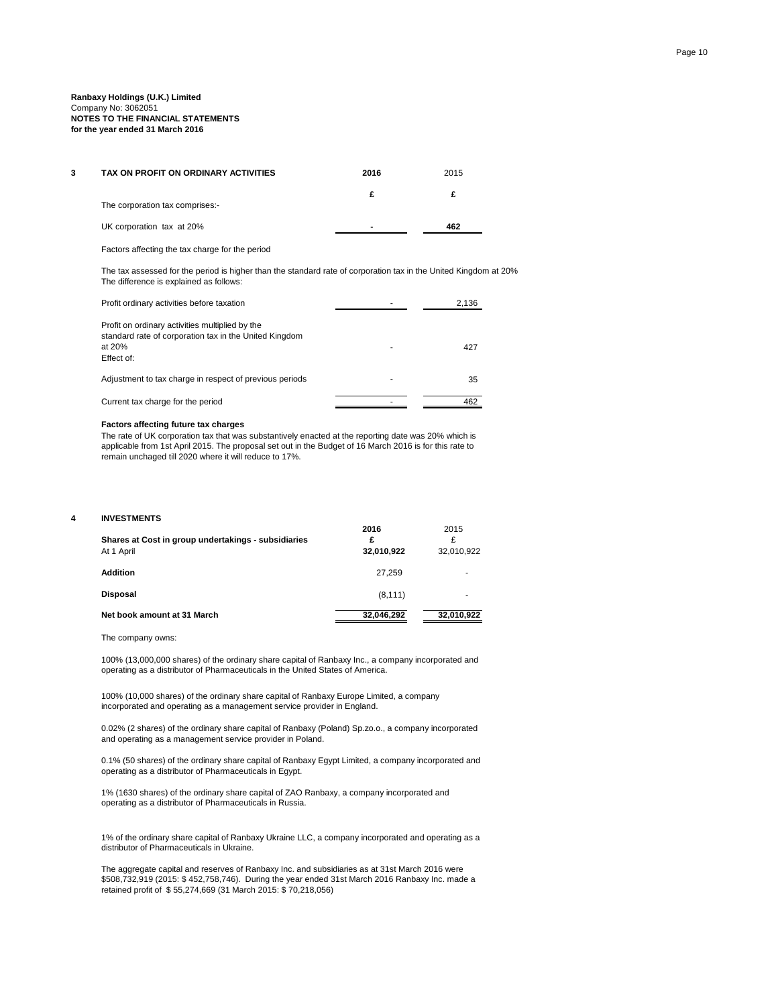#### **Ranbaxy Holdings (U.K.) Limited** Company No: 3062051 **NOTES TO THE FINANCIAL STATEMENTS for the year ended 31 March 2016**

| TAX ON PROFIT ON ORDINARY ACTIVITIES | 2016 | 2015 |
|--------------------------------------|------|------|
| The corporation tax comprises:-      |      |      |
| UK corporation tax at 20%            |      | 462  |

Factors affecting the tax charge for the period

The tax assessed for the period is higher than the standard rate of corporation tax in the United Kingdom at 20% The difference is explained as follows:

| Profit ordinary activities before taxation                                                                | ۰ | 2,136 |
|-----------------------------------------------------------------------------------------------------------|---|-------|
| Profit on ordinary activities multiplied by the<br>standard rate of corporation tax in the United Kingdom |   |       |
| at 20%<br>Effect of:                                                                                      |   | 427   |
| Adjustment to tax charge in respect of previous periods                                                   | ۰ | 35    |
| Current tax charge for the period                                                                         |   | 462   |

### **Factors affecting future tax charges**

The rate of UK corporation tax that was substantively enacted at the reporting date was 20% which is applicable from 1st April 2015. The proposal set out in the Budget of 16 March 2016 is for this rate to remain unchaged till 2020 where it will reduce to 17%.

#### **4 INVESTMENTS**

| Shares at Cost in group undertakings - subsidiaries<br>At 1 April | 2016<br>£<br>32,010,922 | 2015<br>£<br>32,010,922 |
|-------------------------------------------------------------------|-------------------------|-------------------------|
| <b>Addition</b>                                                   | 27.259                  |                         |
| Disposal                                                          | (8, 111)                |                         |
| Net book amount at 31 March                                       | 32,046,292              | 32.010.922              |

The company owns:

100% (13,000,000 shares) of the ordinary share capital of Ranbaxy Inc., a company incorporated and operating as a distributor of Pharmaceuticals in the United States of America.

100% (10,000 shares) of the ordinary share capital of Ranbaxy Europe Limited, a company incorporated and operating as a management service provider in England.

0.02% (2 shares) of the ordinary share capital of Ranbaxy (Poland) Sp.zo.o., a company incorporated and operating as a management service provider in Poland.

0.1% (50 shares) of the ordinary share capital of Ranbaxy Egypt Limited, a company incorporated and operating as a distributor of Pharmaceuticals in Egypt.

1% (1630 shares) of the ordinary share capital of ZAO Ranbaxy, a company incorporated and operating as a distributor of Pharmaceuticals in Russia.

1% of the ordinary share capital of Ranbaxy Ukraine LLC, a company incorporated and operating as a distributor of Pharmaceuticals in Ukraine.

The aggregate capital and reserves of Ranbaxy Inc. and subsidiaries as at 31st March 2016 were \$508,732,919 (2015: \$ 452,758,746). During the year ended 31st March 2016 Ranbaxy Inc. made a retained profit of \$ 55,274,669 (31 March 2015: \$ 70,218,056)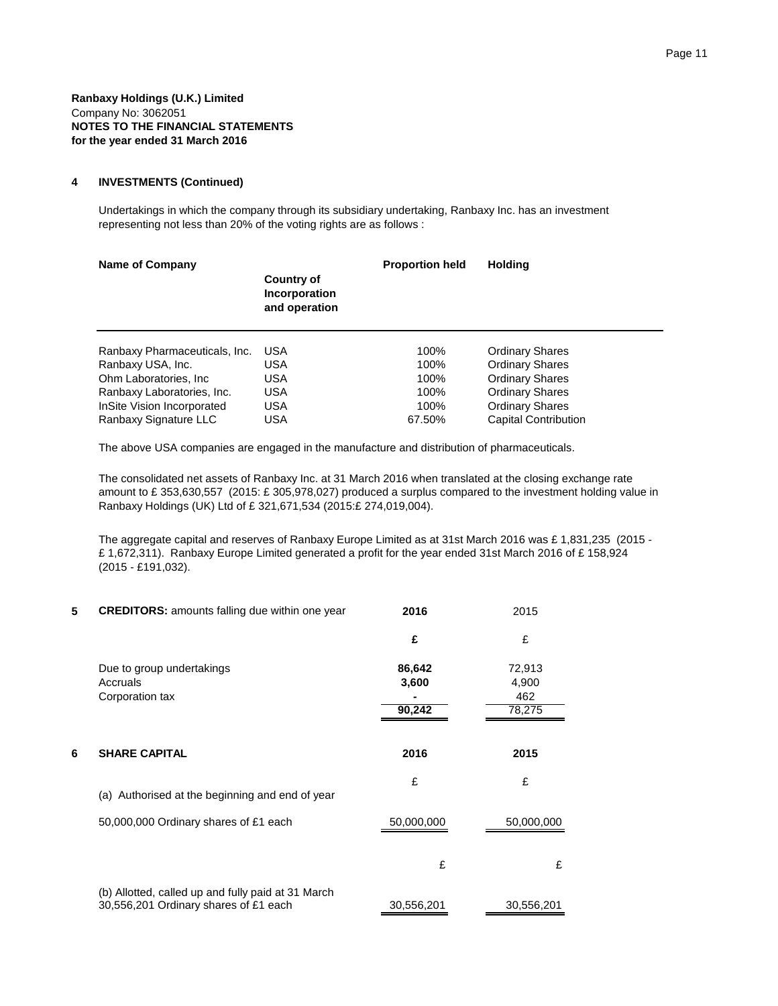## **4 INVESTMENTS (Continued)**

Undertakings in which the company through its subsidiary undertaking, Ranbaxy Inc. has an investment representing not less than 20% of the voting rights are as follows :

| <b>Name of Company</b>        | Country of<br>Incorporation<br>and operation | <b>Proportion held</b> | <b>Holding</b>              |
|-------------------------------|----------------------------------------------|------------------------|-----------------------------|
| Ranbaxy Pharmaceuticals, Inc. | <b>USA</b>                                   | 100%                   | <b>Ordinary Shares</b>      |
| Ranbaxy USA, Inc.             | USA                                          | 100%                   | <b>Ordinary Shares</b>      |
| Ohm Laboratories, Inc.        | USA                                          | 100%                   | <b>Ordinary Shares</b>      |
| Ranbaxy Laboratories, Inc.    | <b>USA</b>                                   | 100%                   | <b>Ordinary Shares</b>      |
| InSite Vision Incorporated    | <b>USA</b>                                   | 100%                   | <b>Ordinary Shares</b>      |
| Ranbaxy Signature LLC         | USA                                          | 67.50%                 | <b>Capital Contribution</b> |

The above USA companies are engaged in the manufacture and distribution of pharmaceuticals.

The consolidated net assets of Ranbaxy Inc. at 31 March 2016 when translated at the closing exchange rate amount to £ 353,630,557 (2015: £ 305,978,027) produced a surplus compared to the investment holding value in Ranbaxy Holdings (UK) Ltd of £ 321,671,534 (2015:£ 274,019,004).

The aggregate capital and reserves of Ranbaxy Europe Limited as at 31st March 2016 was £ 1,831,235 (2015 - £ 1,672,311). Ranbaxy Europe Limited generated a profit for the year ended 31st March 2016 of £ 158,924 (2015 - £191,032).

| 5 | <b>CREDITORS:</b> amounts falling due within one year                                       | 2016                      | 2015                             |
|---|---------------------------------------------------------------------------------------------|---------------------------|----------------------------------|
|   |                                                                                             | £                         | £                                |
|   | Due to group undertakings<br>Accruals<br>Corporation tax                                    | 86,642<br>3,600<br>90,242 | 72,913<br>4,900<br>462<br>78,275 |
| 6 | <b>SHARE CAPITAL</b>                                                                        | 2016                      | 2015                             |
|   | (a) Authorised at the beginning and end of year                                             | £                         | £                                |
|   | 50,000,000 Ordinary shares of £1 each                                                       | 50,000,000                | 50,000,000                       |
|   |                                                                                             | £                         | £                                |
|   | (b) Allotted, called up and fully paid at 31 March<br>30,556,201 Ordinary shares of £1 each | 30,556,201                | 30,556,201                       |